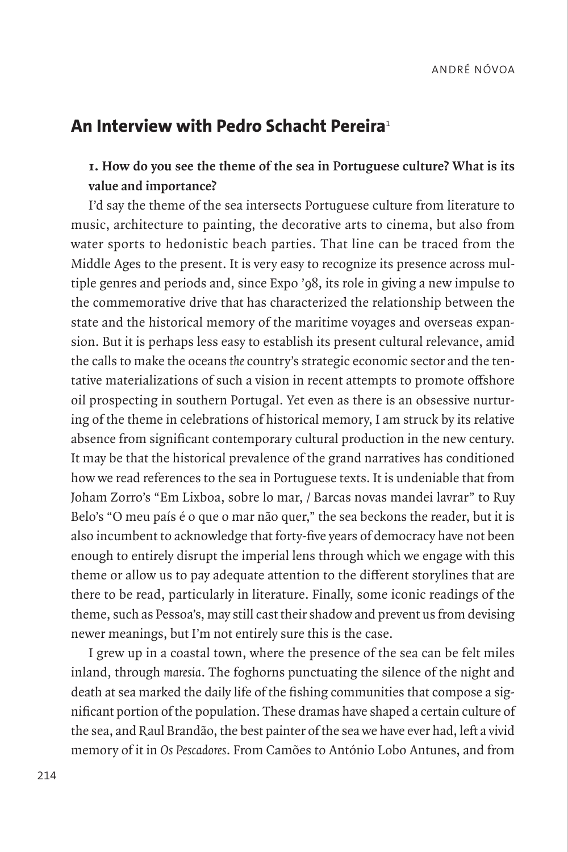# **An Interview with Pedro Schacht Pereira**<sup>1</sup>

## **1. How do you see the theme of the sea in Portuguese culture? What is its value and importance?**

I'd say the theme of the sea intersects Portuguese culture from literature to music, architecture to painting, the decorative arts to cinema, but also from water sports to hedonistic beach parties. That line can be traced from the Middle Ages to the present. It is very easy to recognize its presence across multiple genres and periods and, since Expo '98, its role in giving a new impulse to the commemorative drive that has characterized the relationship between the state and the historical memory of the maritime voyages and overseas expansion. But it is perhaps less easy to establish its present cultural relevance, amid the calls to make the oceans *the* country's strategic economic sector and the tentative materializations of such a vision in recent attempts to promote offshore oil prospecting in southern Portugal. Yet even as there is an obsessive nurturing of the theme in celebrations of historical memory, I am struck by its relative absence from significant contemporary cultural production in the new century. It may be that the historical prevalence of the grand narratives has conditioned how we read references to the sea in Portuguese texts. It is undeniable that from Joham Zorro's "Em Lixboa, sobre lo mar, / Barcas novas mandei lavrar" to Ruy Belo's "O meu país é o que o mar não quer," the sea beckons the reader, but it is also incumbent to acknowledge that forty-five years of democracy have not been enough to entirely disrupt the imperial lens through which we engage with this theme or allow us to pay adequate attention to the different storylines that are there to be read, particularly in literature. Finally, some iconic readings of the theme, such as Pessoa's, may still cast their shadow and prevent us from devising newer meanings, but I'm not entirely sure this is the case.

I grew up in a coastal town, where the presence of the sea can be felt miles inland, through *maresia*. The foghorns punctuating the silence of the night and death at sea marked the daily life of the fishing communities that compose a significant portion of the population. These dramas have shaped a certain culture of the sea, and Raul Brandão, the best painter of the sea we have ever had, left a vivid memory of it in *Os Pescadores*. From Camões to António Lobo Antunes, and from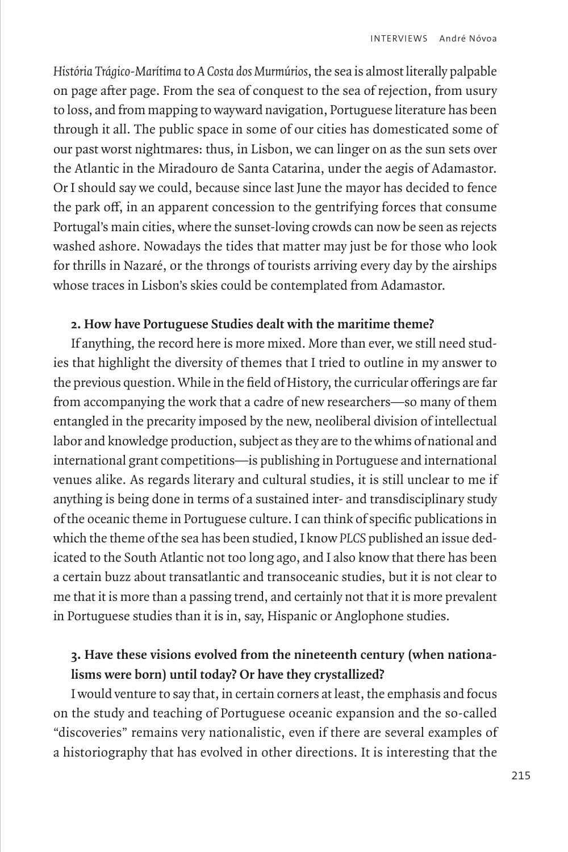*História Trágico-Marítima* to *A Costa dos Murmúrios*, the sea is almost literally palpable on page after page. From the sea of conquest to the sea of rejection, from usury to loss, and from mapping to wayward navigation, Portuguese literature has been through it all. The public space in some of our cities has domesticated some of our past worst nightmares: thus, in Lisbon, we can linger on as the sun sets over the Atlantic in the Miradouro de Santa Catarina, under the aegis of Adamastor. Or I should say we could, because since last June the mayor has decided to fence the park off, in an apparent concession to the gentrifying forces that consume Portugal's main cities, where the sunset-loving crowds can now be seen as rejects washed ashore. Nowadays the tides that matter may just be for those who look for thrills in Nazaré, or the throngs of tourists arriving every day by the airships whose traces in Lisbon's skies could be contemplated from Adamastor.

#### **2. How have Portuguese Studies dealt with the maritime theme?**

If anything, the record here is more mixed. More than ever, we still need studies that highlight the diversity of themes that I tried to outline in my answer to the previous question. While in the field of History, the curricular offerings are far from accompanying the work that a cadre of new researchers—so many of them entangled in the precarity imposed by the new, neoliberal division of intellectual labor and knowledge production, subject as they are to the whims of national and international grant competitions—is publishing in Portuguese and international venues alike. As regards literary and cultural studies, it is still unclear to me if anything is being done in terms of a sustained inter- and transdisciplinary study of the oceanic theme in Portuguese culture. I can think of specific publications in which the theme of the sea has been studied, I know *PLCS* published an issue dedicated to the South Atlantic not too long ago, and I also know that there has been a certain buzz about transatlantic and transoceanic studies, but it is not clear to me that it is more than a passing trend, and certainly not that it is more prevalent in Portuguese studies than it is in, say, Hispanic or Anglophone studies.

### **3. Have these visions evolved from the nineteenth century (when nationalisms were born) until today? Or have they crystallized?**

I would venture to say that, in certain corners at least, the emphasis and focus on the study and teaching of Portuguese oceanic expansion and the so-called "discoveries" remains very nationalistic, even if there are several examples of a historiography that has evolved in other directions. It is interesting that the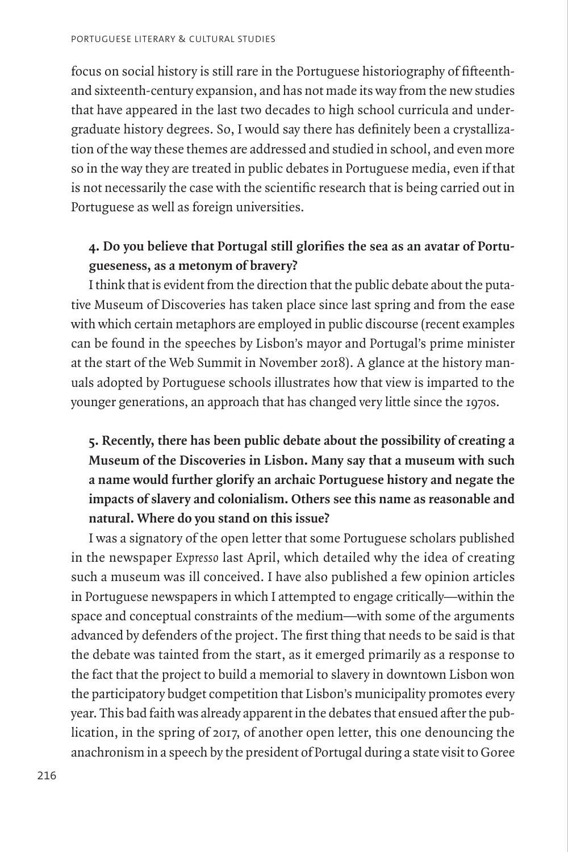focus on social history is still rare in the Portuguese historiography of fifteenthand sixteenth-century expansion, and has not made its way from the new studies that have appeared in the last two decades to high school curricula and undergraduate history degrees. So, I would say there has definitely been a crystallization of the way these themes are addressed and studied in school, and even more so in the way they are treated in public debates in Portuguese media, even if that is not necessarily the case with the scientific research that is being carried out in Portuguese as well as foreign universities.

## **4. Do you believe that Portugal still glorifies the sea as an avatar of Portugueseness, as a metonym of bravery?**

I think that is evident from the direction that the public debate about the putative Museum of Discoveries has taken place since last spring and from the ease with which certain metaphors are employed in public discourse (recent examples can be found in the speeches by Lisbon's mayor and Portugal's prime minister at the start of the Web Summit in November 2018). A glance at the history manuals adopted by Portuguese schools illustrates how that view is imparted to the younger generations, an approach that has changed very little since the 1970s.

# **5. Recently, there has been public debate about the possibility of creating a Museum of the Discoveries in Lisbon. Many say that a museum with such a name would further glorify an archaic Portuguese history and negate the impacts of slavery and colonialism. Others see this name as reasonable and natural. Where do you stand on this issue?**

I was a signatory of the open letter that some Portuguese scholars published in the newspaper *Expresso* last April, which detailed why the idea of creating such a museum was ill conceived. I have also published a few opinion articles in Portuguese newspapers in which I attempted to engage critically—within the space and conceptual constraints of the medium—with some of the arguments advanced by defenders of the project. The first thing that needs to be said is that the debate was tainted from the start, as it emerged primarily as a response to the fact that the project to build a memorial to slavery in downtown Lisbon won the participatory budget competition that Lisbon's municipality promotes every year. This bad faith was already apparent in the debates that ensued after the publication, in the spring of 2017, of another open letter, this one denouncing the anachronism in a speech by the president of Portugal during a state visit to Goree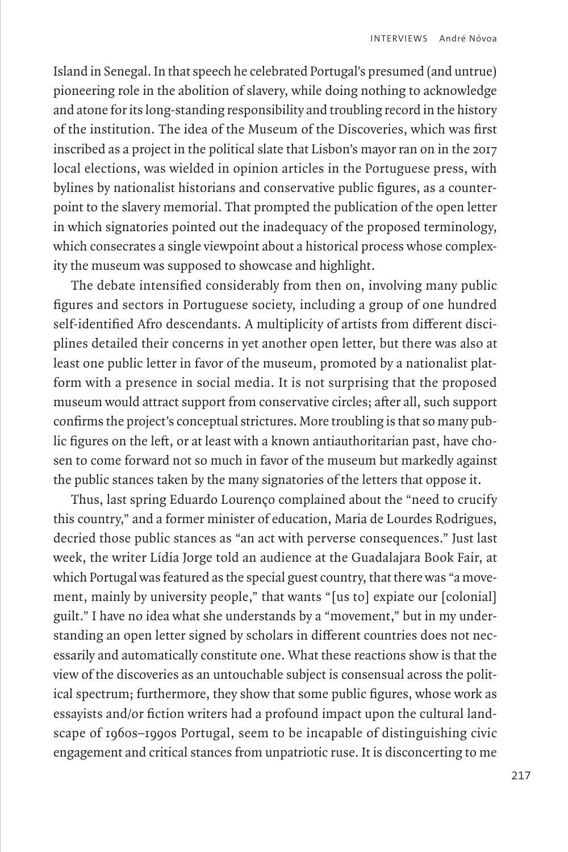Island in Senegal. In that speech he celebrated Portugal's presumed (and untrue) pioneering role in the abolition of slavery, while doing nothing to acknowledge and atone for its long-standing responsibility and troubling record in the history of the institution. The idea of the Museum of the Discoveries, which was first inscribed as a project in the political slate that Lisbon's mayor ran on in the 2017 local elections, was wielded in opinion articles in the Portuguese press, with bylines by nationalist historians and conservative public figures, as a counterpoint to the slavery memorial. That prompted the publication of the open letter in which signatories pointed out the inadequacy of the proposed terminology, which consecrates a single viewpoint about a historical process whose complexity the museum was supposed to showcase and highlight.

The debate intensified considerably from then on, involving many public figures and sectors in Portuguese society, including a group of one hundred self-identified Afro descendants. A multiplicity of artists from different disciplines detailed their concerns in yet another open letter, but there was also at least one public letter in favor of the museum, promoted by a nationalist platform with a presence in social media. It is not surprising that the proposed museum would attract support from conservative circles; after all, such support confirms the project's conceptual strictures. More troubling is that so many public figures on the left, or at least with a known antiauthoritarian past, have chosen to come forward not so much in favor of the museum but markedly against the public stances taken by the many signatories of the letters that oppose it.

Thus, last spring Eduardo Lourenço complained about the "need to crucify this country," and a former minister of education, Maria de Lourdes Rodrigues, decried those public stances as "an act with perverse consequences." Just last week, the writer Lídia Jorge told an audience at the Guadalajara Book Fair, at which Portugal was featured as the special guest country, that there was "a movement, mainly by university people," that wants "[us to] expiate our [colonial] guilt." I have no idea what she understands by a "movement," but in my understanding an open letter signed by scholars in different countries does not necessarily and automatically constitute one. What these reactions show is that the view of the discoveries as an untouchable subject is consensual across the political spectrum; furthermore, they show that some public figures, whose work as essayists and/or fiction writers had a profound impact upon the cultural landscape of 1960s–1990s Portugal, seem to be incapable of distinguishing civic engagement and critical stances from unpatriotic ruse. It is disconcerting to me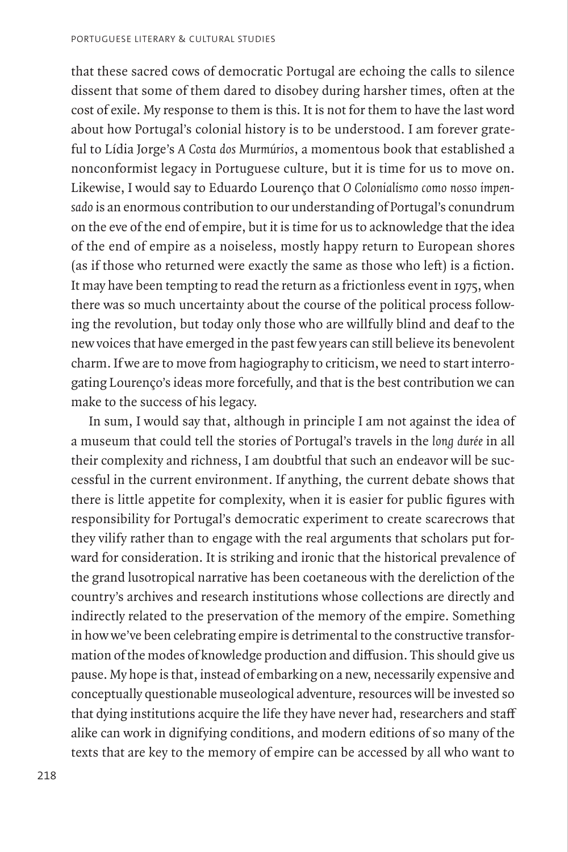that these sacred cows of democratic Portugal are echoing the calls to silence dissent that some of them dared to disobey during harsher times, often at the cost of exile. My response to them is this. It is not for them to have the last word about how Portugal's colonial history is to be understood. I am forever grateful to Lídia Jorge's *A Costa dos Murmúrios*, a momentous book that established a nonconformist legacy in Portuguese culture, but it is time for us to move on. Likewise, I would say to Eduardo Lourenço that *O Colonialismo como nosso impensado* is an enormous contribution to our understanding of Portugal's conundrum on the eve of the end of empire, but it is time for us to acknowledge that the idea of the end of empire as a noiseless, mostly happy return to European shores (as if those who returned were exactly the same as those who left) is a fiction. It may have been tempting to read the return as a frictionless event in 1975, when there was so much uncertainty about the course of the political process following the revolution, but today only those who are willfully blind and deaf to the new voices that have emerged in the past few years can still believe its benevolent charm. If we are to move from hagiography to criticism, we need to start interrogating Lourenço's ideas more forcefully, and that is the best contribution we can make to the success of his legacy.

In sum, I would say that, although in principle I am not against the idea of a museum that could tell the stories of Portugal's travels in the *long durée* in all their complexity and richness, I am doubtful that such an endeavor will be successful in the current environment. If anything, the current debate shows that there is little appetite for complexity, when it is easier for public figures with responsibility for Portugal's democratic experiment to create scarecrows that they vilify rather than to engage with the real arguments that scholars put forward for consideration. It is striking and ironic that the historical prevalence of the grand lusotropical narrative has been coetaneous with the dereliction of the country's archives and research institutions whose collections are directly and indirectly related to the preservation of the memory of the empire. Something in how we've been celebrating empire is detrimental to the constructive transformation of the modes of knowledge production and diffusion. This should give us pause. My hope is that, instead of embarking on a new, necessarily expensive and conceptually questionable museological adventure, resources will be invested so that dying institutions acquire the life they have never had, researchers and staff alike can work in dignifying conditions, and modern editions of so many of the texts that are key to the memory of empire can be accessed by all who want to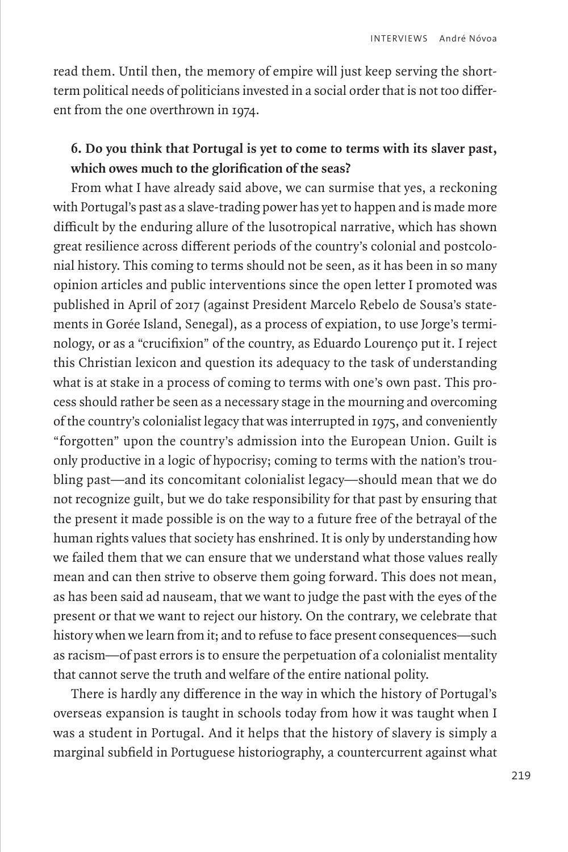read them. Until then, the memory of empire will just keep serving the shortterm political needs of politicians invested in a social order that is not too different from the one overthrown in 1974.

### **6. Do you think that Portugal is yet to come to terms with its slaver past, which owes much to the glorification of the seas?**

From what I have already said above, we can surmise that yes, a reckoning with Portugal's past as a slave-trading power has yet to happen and is made more difficult by the enduring allure of the lusotropical narrative, which has shown great resilience across different periods of the country's colonial and postcolonial history. This coming to terms should not be seen, as it has been in so many opinion articles and public interventions since the open letter I promoted was published in April of 2017 (against President Marcelo Rebelo de Sousa's statements in Gorée Island, Senegal), as a process of expiation, to use Jorge's terminology, or as a "crucifixion" of the country, as Eduardo Lourenço put it. I reject this Christian lexicon and question its adequacy to the task of understanding what is at stake in a process of coming to terms with one's own past. This process should rather be seen as a necessary stage in the mourning and overcoming of the country's colonialist legacy that was interrupted in 1975, and conveniently "forgotten" upon the country's admission into the European Union. Guilt is only productive in a logic of hypocrisy; coming to terms with the nation's troubling past—and its concomitant colonialist legacy—should mean that we do not recognize guilt, but we do take responsibility for that past by ensuring that the present it made possible is on the way to a future free of the betrayal of the human rights values that society has enshrined. It is only by understanding how we failed them that we can ensure that we understand what those values really mean and can then strive to observe them going forward. This does not mean, as has been said ad nauseam, that we want to judge the past with the eyes of the present or that we want to reject our history. On the contrary, we celebrate that history when we learn from it; and to refuse to face present consequences—such as racism—of past errors is to ensure the perpetuation of a colonialist mentality that cannot serve the truth and welfare of the entire national polity.

There is hardly any difference in the way in which the history of Portugal's overseas expansion is taught in schools today from how it was taught when I was a student in Portugal. And it helps that the history of slavery is simply a marginal subfield in Portuguese historiography, a countercurrent against what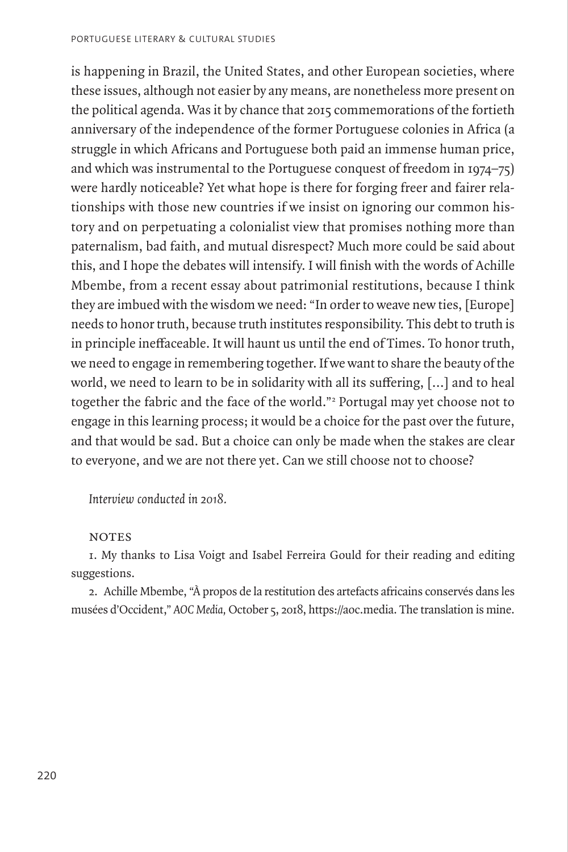is happening in Brazil, the United States, and other European societies, where these issues, although not easier by any means, are nonetheless more present on the political agenda. Was it by chance that 2015 commemorations of the fortieth anniversary of the independence of the former Portuguese colonies in Africa (a struggle in which Africans and Portuguese both paid an immense human price, and which was instrumental to the Portuguese conquest of freedom in 1974–75) were hardly noticeable? Yet what hope is there for forging freer and fairer relationships with those new countries if we insist on ignoring our common history and on perpetuating a colonialist view that promises nothing more than paternalism, bad faith, and mutual disrespect? Much more could be said about this, and I hope the debates will intensify. I will finish with the words of Achille Mbembe, from a recent essay about patrimonial restitutions, because I think they are imbued with the wisdom we need: "In order to weave new ties, [Europe] needs to honor truth, because truth institutes responsibility. This debt to truth is in principle ineffaceable. It will haunt us until the end of Times. To honor truth, we need to engage in remembering together. If we want to share the beauty of the world, we need to learn to be in solidarity with all its suffering, […] and to heal together the fabric and the face of the world."2 Portugal may yet choose not to engage in this learning process; it would be a choice for the past over the future, and that would be sad. But a choice can only be made when the stakes are clear to everyone, and we are not there yet. Can we still choose not to choose?

*Interview conducted in 2018.*

#### **NOTES**

1. My thanks to Lisa Voigt and Isabel Ferreira Gould for their reading and editing suggestions.

2. Achille Mbembe, "À propos de la restitution des artefacts africains conservés dans les musées d'Occident," *AOC Media,* October 5, 2018, https://aoc.media. The translation is mine.